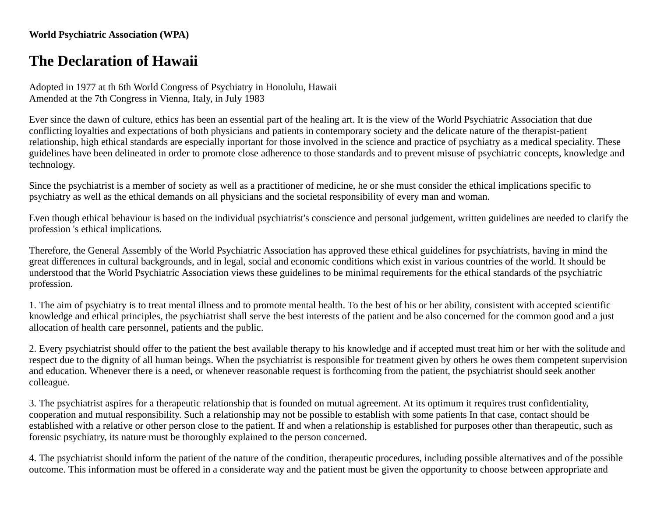## **World Psychiatric Association (WPA)**

## **The Declaration of Hawaii**

Adopted in 1977 at th 6th World Congress of Psychiatry in Honolulu, Hawaii Amended at the 7th Congress in Vienna, Italy, in July 1983

Ever since the dawn of culture, ethics has been an essential part of the healing art. It is the view of the World Psychiatric Association that due conflicting loyalties and expectations of both physicians and patients in contemporary society and the delicate nature of the therapist-patient relationship, high ethical standards are especially inportant for those involved in the science and practice of psychiatry as a medical speciality. These guidelines have been delineated in order to promote close adherence to those standards and to prevent misuse of psychiatric concepts, knowledge and technology.

Since the psychiatrist is a member of society as well as a practitioner of medicine, he or she must consider the ethical implications specific to psychiatry as well as the ethical demands on all physicians and the societal responsibility of every man and woman.

Even though ethical behaviour is based on the individual psychiatrist's conscience and personal judgement, written guidelines are needed to clarify the profession 's ethical implications.

Therefore, the General Assembly of the World Psychiatric Association has approved these ethical guidelines for psychiatrists, having in mind the great differences in cultural backgrounds, and in legal, social and economic conditions which exist in various countries of the world. It should be understood that the World Psychiatric Association views these guidelines to be minimal requirements for the ethical standards of the psychiatric profession.

1. The aim of psychiatry is to treat mental illness and to promote mental health. To the best of his or her ability, consistent with accepted scientific knowledge and ethical principles, the psychiatrist shall serve the best interests of the patient and be also concerned for the common good and a just allocation of health care personnel, patients and the public.

2. Every psychiatrist should offer to the patient the best available therapy to his knowledge and if accepted must treat him or her with the solitude and respect due to the dignity of all human beings. When the psychiatrist is responsible for treatment given by others he owes them competent supervision and education. Whenever there is a need, or whenever reasonable request is forthcoming from the patient, the psychiatrist should seek another colleague.

3. The psychiatrist aspires for a therapeutic relationship that is founded on mutual agreement. At its optimum it requires trust confidentiality, cooperation and mutual responsibility. Such a relationship may not be possible to establish with some patients In that case, contact should be established with a relative or other person close to the patient. If and when a relationship is established for purposes other than therapeutic, such as forensic psychiatry, its nature must be thoroughly explained to the person concerned.

4. The psychiatrist should inform the patient of the nature of the condition, therapeutic procedures, including possible alternatives and of the possible outcome. This information must be offered in a considerate way and the patient must be given the opportunity to choose between appropriate and